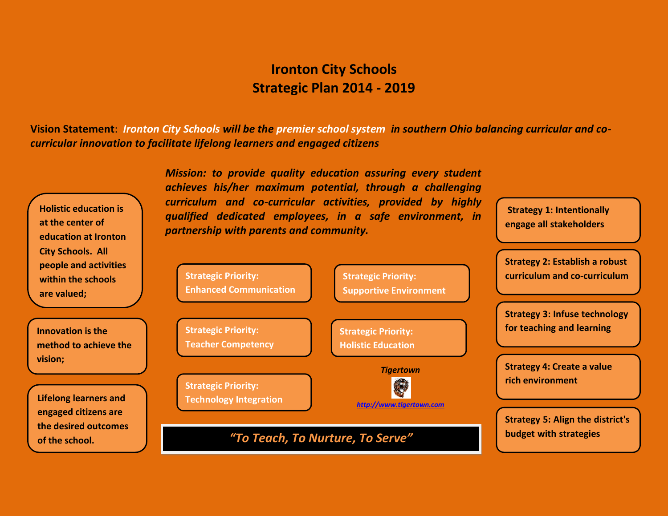## **Ironton City Schools Strategic Plan 2014 - 2019**

**Vision Statement**: *Ironton City Schools will be the premier school system in southern Ohio balancing curricular and cocurricular innovation to facilitate lifelong learners and engaged citizens*

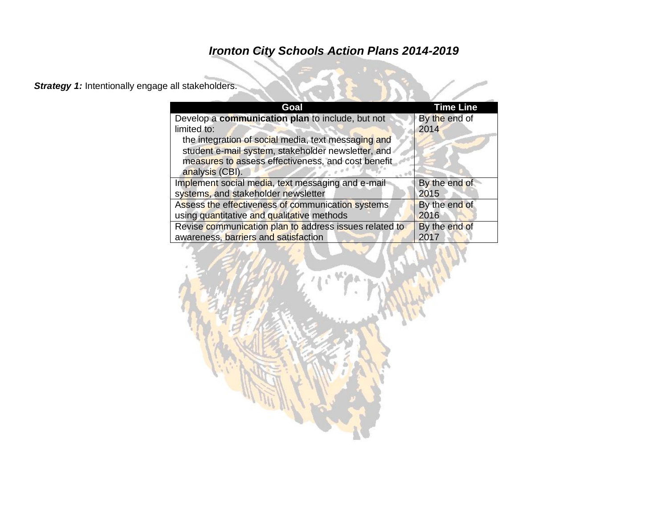### **Strategy 1:** Intentionally engage all stakeholders.

| Goal                                                                                                                                                                               | <b>Time Line</b> |
|------------------------------------------------------------------------------------------------------------------------------------------------------------------------------------|------------------|
| Develop a communication plan to include, but not                                                                                                                                   | By the end of    |
| limited to:                                                                                                                                                                        | 2014             |
| the integration of social media, text messaging and<br>student e-mail system, stakeholder newsletter, and<br>measures to assess effectiveness, and cost benefit<br>analysis (CBI). |                  |
| Implement social media, text messaging and e-mail                                                                                                                                  | By the end of    |
| systems, and stakeholder newsletter                                                                                                                                                | 2015             |
| Assess the effectiveness of communication systems                                                                                                                                  | By the end of    |
| using quantitative and qualitative methods                                                                                                                                         | 2016             |
| Revise communication plan to address issues related to                                                                                                                             | By the end of    |
| awareness, barriers and satisfaction                                                                                                                                               | 2017             |

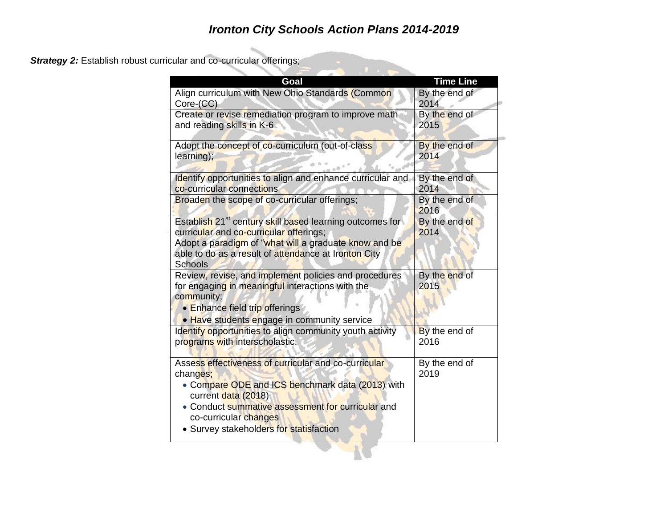*Strategy 2:* Establish robust curricular and co-curricular offerings;

| Goal                                                                                                                                                                                                                                                                 | <b>Time Line</b>      |
|----------------------------------------------------------------------------------------------------------------------------------------------------------------------------------------------------------------------------------------------------------------------|-----------------------|
| Align curriculum with New Ohio Standards (Common                                                                                                                                                                                                                     | By the end of         |
| Core-(CC)                                                                                                                                                                                                                                                            | 2014                  |
| Create or revise remediation program to improve math                                                                                                                                                                                                                 | By the end of         |
| and reading skills in K-6                                                                                                                                                                                                                                            | 2015                  |
| Adopt the concept of co-curriculum (out-of-class                                                                                                                                                                                                                     | By the end of         |
| learning);                                                                                                                                                                                                                                                           | 2014                  |
| Identify opportunities to align and enhance curricular and                                                                                                                                                                                                           | By the end of         |
| co-curricular connections                                                                                                                                                                                                                                            | 2014                  |
| Broaden the scope of co-curricular offerings;                                                                                                                                                                                                                        | By the end of<br>2016 |
| Establish 21 <sup>st</sup> century skill based learning outcomes for<br>curricular and co-curricular offerings;<br>Adopt a paradigm of "what will a graduate know and be<br>able to do as a result of attendance at Ironton City<br><b>Schools</b>                   | By the end of<br>2014 |
| Review, revise, and implement policies and procedures<br>for engaging in meaningful interactions with the<br>community;<br>• Enhance field trip offerings<br>• Have students engage in community service                                                             | By the end of<br>2015 |
| Identify opportunities to align community youth activity                                                                                                                                                                                                             | By the end of         |
| programs with interscholastic.                                                                                                                                                                                                                                       | 2016                  |
| Assess effectiveness of curricular and co-curricular<br>changes;<br>• Compare ODE and ICS benchmark data (2013) with<br>current data (2018)<br>• Conduct summative assessment for curricular and<br>co-curricular changes<br>• Survey stakeholders for statisfaction | By the end of<br>2019 |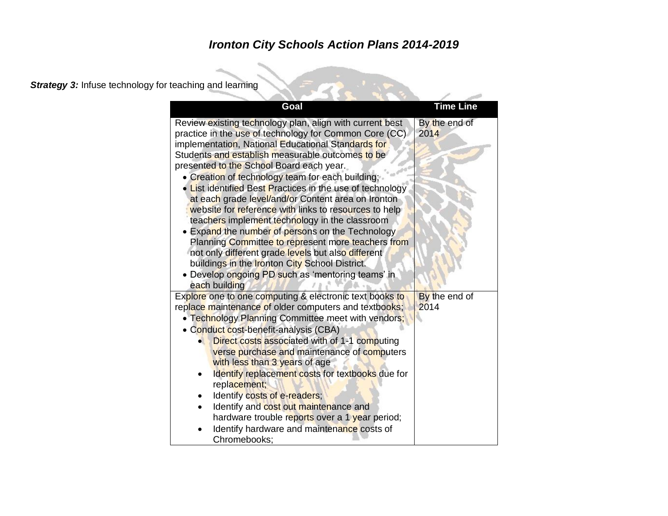**Strategy 3:** Infuse technology for teaching and learning

| Goal                                                                                                                                                                                                                                                                                                                                                                                                                                                                                                                                                                                                                                                                                                                                                                                                                                             | <b>Time Line</b>      |
|--------------------------------------------------------------------------------------------------------------------------------------------------------------------------------------------------------------------------------------------------------------------------------------------------------------------------------------------------------------------------------------------------------------------------------------------------------------------------------------------------------------------------------------------------------------------------------------------------------------------------------------------------------------------------------------------------------------------------------------------------------------------------------------------------------------------------------------------------|-----------------------|
| Review existing technology plan, align with current best<br>practice in the use of technology for Common Core (CC)<br>implementation, National Educational Standards for<br>Students and establish measurable outcomes to be<br>presented to the School Board each year.<br>• Creation of technology team for each building;<br>List identified Best Practices in the use of technology<br>at each grade level/and/or Content area on Ironton<br>website for reference with links to resources to help<br>teachers implement technology in the classroom<br>• Expand the number of persons on the Technology<br>Planning Committee to represent more teachers from<br>not only different grade levels but also different<br>buildings in the Ironton City School District.<br>• Develop ongoing PD such as 'mentoring teams' in<br>each building | By the end of<br>2014 |
| Explore one to one computing & electronic text books to<br>replace maintenance of older computers and textbooks;<br>• Technology Planning Committee meet with vendors;<br>• Conduct cost-benefit-analysis (CBA)<br>Direct costs associated with of 1-1 computing<br>verse purchase and maintenance of computers<br>with less than 3 years of age<br>Identify replacement costs for textbooks due for<br>replacement;<br>Identify costs of e-readers;<br>Identify and cost out maintenance and<br>hardware trouble reports over a 1 year period;<br>Identify hardware and maintenance costs of<br>Chromebooks:                                                                                                                                                                                                                                    | By the end of<br>2014 |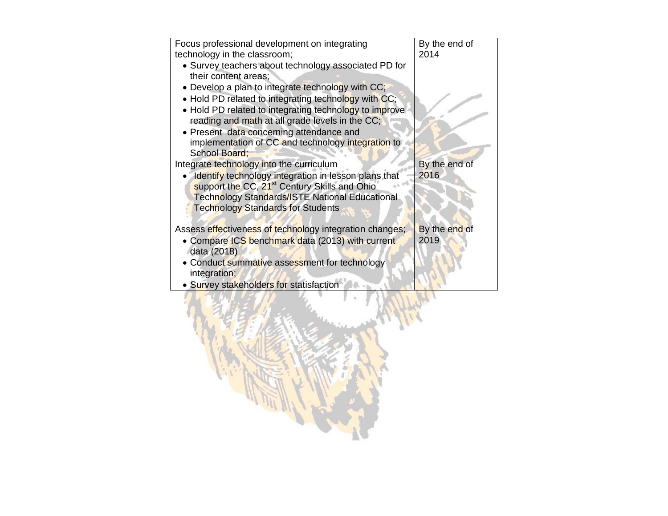| Focus professional development on integrating<br>technology in the classroom;<br>• Survey teachers about technology associated PD for<br>their content areas;<br>• Develop a plan to integrate technology with CC;<br>. Hold PD related to integrating technology with CC;<br>• Hold PD related to integrating technology to improve<br>reading and math at all grade levels in the CC;<br>• Present data concerning attendance and<br>implementation of CC and technology integration to<br><b>School Board:</b> | By the end of<br>2014 |
|-------------------------------------------------------------------------------------------------------------------------------------------------------------------------------------------------------------------------------------------------------------------------------------------------------------------------------------------------------------------------------------------------------------------------------------------------------------------------------------------------------------------|-----------------------|
| Integrate technology into the curriculum<br>Identify technology integration in lesson plans that<br>support the CC, 21 <sup>st</sup> Century Skills and Ohio<br><b>Technology Standards/ISTE National Educational</b><br><b>Technology Standards for Students</b>                                                                                                                                                                                                                                                 | By the end of<br>2016 |
| Assess effectiveness of technology integration changes;<br>Compare ICS benchmark data (2013) with current<br>data (2018)<br>• Conduct summative assessment for technology<br>integration;<br>• Survey stakeholders for statisfaction                                                                                                                                                                                                                                                                              | By the end of<br>2019 |
|                                                                                                                                                                                                                                                                                                                                                                                                                                                                                                                   |                       |

F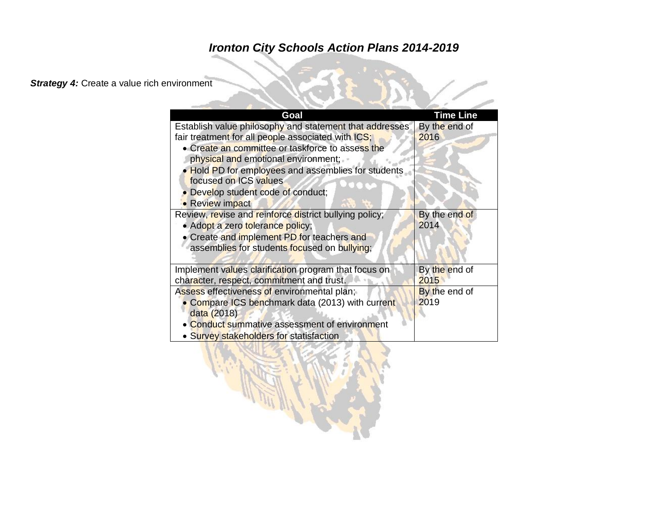#### **Strategy 4:** Create a value rich environment

| Goal                                                                                                                                                                                                                                                                                                                                            | <b>Time Line</b>      |
|-------------------------------------------------------------------------------------------------------------------------------------------------------------------------------------------------------------------------------------------------------------------------------------------------------------------------------------------------|-----------------------|
| Establish value philosophy and statement that addresses<br>fair treatment for all people associated with ICS;<br>• Create an committee or taskforce to assess the<br>physical and emotional environment;<br>. Hold PD for employees and assemblies for students<br>focused on ICS values<br>Develop student code of conduct;<br>• Review impact | By the end of<br>2016 |
| Review, revise and reinforce district bullying policy;<br>· Adopt a zero tolerance policy;<br>• Create and implement PD for teachers and<br>assemblies for students focused on bullying;                                                                                                                                                        | By the end of<br>2014 |
| Implement values clarification program that focus on<br>character, respect, commitment and trust.                                                                                                                                                                                                                                               | By the end of<br>2015 |
| Assess effectiveness of environmental plan;<br>Compare ICS benchmark data (2013) with current<br>data (2018)<br><b>Conduct summative assessment of environment</b><br>• Survey stakeholders for statisfaction                                                                                                                                   | By the end of<br>2019 |